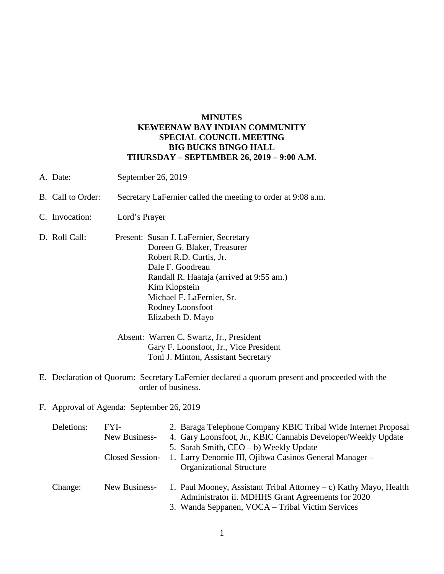## **MINUTES KEWEENAW BAY INDIAN COMMUNITY SPECIAL COUNCIL MEETING BIG BUCKS BINGO HALL THURSDAY – SEPTEMBER 26, 2019 – 9:00 A.M.**

- A. Date: September 26, 2019
- B. Call to Order: Secretary LaFernier called the meeting to order at 9:08 a.m.
- C. Invocation: Lord's Prayer
- D. Roll Call: Present: Susan J. LaFernier, Secretary Doreen G. Blaker, Treasurer Robert R.D. Curtis, Jr. Dale F. Goodreau Randall R. Haataja (arrived at 9:55 am.) Kim Klopstein Michael F. LaFernier, Sr. Rodney Loonsfoot Elizabeth D. Mayo

Absent: Warren C. Swartz, Jr., President Gary F. Loonsfoot, Jr., Vice President Toni J. Minton, Assistant Secretary

- E. Declaration of Quorum: Secretary LaFernier declared a quorum present and proceeded with the order of business.
- F. Approval of Agenda: September 26, 2019

| Deletions: | FYI-            | 2. Baraga Telephone Company KBIC Tribal Wide Internet Proposal                                                         |
|------------|-----------------|------------------------------------------------------------------------------------------------------------------------|
|            | New Business-   | 4. Gary Loonsfoot, Jr., KBIC Cannabis Developer/Weekly Update                                                          |
|            |                 | 5. Sarah Smith, CEO – b) Weekly Update                                                                                 |
|            | Closed Session- | 1. Larry Denomie III, Ojibwa Casinos General Manager –                                                                 |
|            |                 | <b>Organizational Structure</b>                                                                                        |
| Change:    | New Business-   | 1. Paul Mooney, Assistant Tribal Attorney – c) Kathy Mayo, Health<br>Administrator ii. MDHHS Grant Agreements for 2020 |
|            |                 | 3. Wanda Seppanen, VOCA – Tribal Victim Services                                                                       |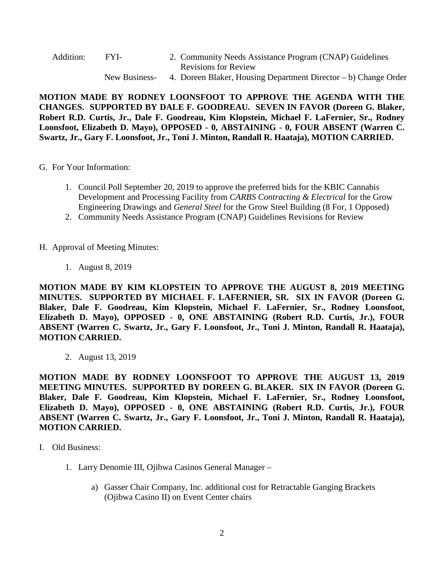| Addition: | FYI-          | 2. Community Needs Assistance Program (CNAP) Guidelines         |
|-----------|---------------|-----------------------------------------------------------------|
|           |               | <b>Revisions for Review</b>                                     |
|           | New Business- | 4. Doreen Blaker, Housing Department Director – b) Change Order |

**MOTION MADE BY RODNEY LOONSFOOT TO APPROVE THE AGENDA WITH THE CHANGES. SUPPORTED BY DALE F. GOODREAU. SEVEN IN FAVOR (Doreen G. Blaker, Robert R.D. Curtis, Jr., Dale F. Goodreau, Kim Klopstein, Michael F. LaFernier, Sr., Rodney Loonsfoot, Elizabeth D. Mayo), OPPOSED - 0, ABSTAINING - 0, FOUR ABSENT (Warren C. Swartz, Jr., Gary F. Loonsfoot, Jr., Toni J. Minton, Randall R. Haataja), MOTION CARRIED.**

- G. For Your Information:
	- 1. Council Poll September 20, 2019 to approve the preferred bids for the KBIC Cannabis Development and Processing Facility from *CARBS Contracting & Electrical* for the Grow Engineering Drawings and *General Steel* for the Grow Steel Building (8 For, 1 Opposed)
	- 2. Community Needs Assistance Program (CNAP) Guidelines Revisions for Review
- H. Approval of Meeting Minutes:
	- 1. August 8, 2019

**MOTION MADE BY KIM KLOPSTEIN TO APPROVE THE AUGUST 8, 2019 MEETING MINUTES. SUPPORTED BY MICHAEL F. LAFERNIER, SR. SIX IN FAVOR (Doreen G. Blaker, Dale F. Goodreau, Kim Klopstein, Michael F. LaFernier, Sr., Rodney Loonsfoot, Elizabeth D. Mayo), OPPOSED - 0, ONE ABSTAINING (Robert R.D. Curtis, Jr.), FOUR ABSENT (Warren C. Swartz, Jr., Gary F. Loonsfoot, Jr., Toni J. Minton, Randall R. Haataja), MOTION CARRIED.**

2. August 13, 2019

**MOTION MADE BY RODNEY LOONSFOOT TO APPROVE THE AUGUST 13, 2019 MEETING MINUTES. SUPPORTED BY DOREEN G. BLAKER. SIX IN FAVOR (Doreen G. Blaker, Dale F. Goodreau, Kim Klopstein, Michael F. LaFernier, Sr., Rodney Loonsfoot, Elizabeth D. Mayo), OPPOSED - 0, ONE ABSTAINING (Robert R.D. Curtis, Jr.), FOUR ABSENT (Warren C. Swartz, Jr., Gary F. Loonsfoot, Jr., Toni J. Minton, Randall R. Haataja), MOTION CARRIED.**

- I. Old Business:
	- 1. Larry Denomie III, Ojibwa Casinos General Manager
		- a) Gasser Chair Company, Inc. additional cost for Retractable Ganging Brackets (Ojibwa Casino II) on Event Center chairs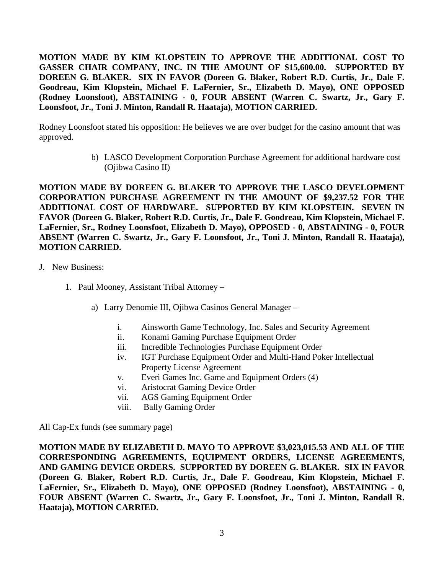**MOTION MADE BY KIM KLOPSTEIN TO APPROVE THE ADDITIONAL COST TO GASSER CHAIR COMPANY, INC. IN THE AMOUNT OF \$15,600.00. SUPPORTED BY DOREEN G. BLAKER. SIX IN FAVOR (Doreen G. Blaker, Robert R.D. Curtis, Jr., Dale F. Goodreau, Kim Klopstein, Michael F. LaFernier, Sr., Elizabeth D. Mayo), ONE OPPOSED (Rodney Loonsfoot), ABSTAINING - 0, FOUR ABSENT (Warren C. Swartz, Jr., Gary F. Loonsfoot, Jr., Toni J. Minton, Randall R. Haataja), MOTION CARRIED.**

Rodney Loonsfoot stated his opposition: He believes we are over budget for the casino amount that was approved.

> b) LASCO Development Corporation Purchase Agreement for additional hardware cost (Ojibwa Casino II)

**MOTION MADE BY DOREEN G. BLAKER TO APPROVE THE LASCO DEVELOPMENT CORPORATION PURCHASE AGREEMENT IN THE AMOUNT OF \$9,237.52 FOR THE ADDITIONAL COST OF HARDWARE. SUPPORTED BY KIM KLOPSTEIN. SEVEN IN FAVOR (Doreen G. Blaker, Robert R.D. Curtis, Jr., Dale F. Goodreau, Kim Klopstein, Michael F. LaFernier, Sr., Rodney Loonsfoot, Elizabeth D. Mayo), OPPOSED - 0, ABSTAINING - 0, FOUR ABSENT (Warren C. Swartz, Jr., Gary F. Loonsfoot, Jr., Toni J. Minton, Randall R. Haataja), MOTION CARRIED.**

- J. New Business:
	- 1. Paul Mooney, Assistant Tribal Attorney
		- a) Larry Denomie III, Ojibwa Casinos General Manager
			- i. Ainsworth Game Technology, Inc. Sales and Security Agreement
			- ii. Konami Gaming Purchase Equipment Order
			- iii. Incredible Technologies Purchase Equipment Order
			- iv. IGT Purchase Equipment Order and Multi-Hand Poker Intellectual Property License Agreement
			- v. Everi Games Inc. Game and Equipment Orders (4)
			- vi. Aristocrat Gaming Device Order
			- vii. AGS Gaming Equipment Order
			- viii. Bally Gaming Order

All Cap-Ex funds (see summary page)

**MOTION MADE BY ELIZABETH D. MAYO TO APPROVE \$3,023,015.53 AND ALL OF THE CORRESPONDING AGREEMENTS, EQUIPMENT ORDERS, LICENSE AGREEMENTS, AND GAMING DEVICE ORDERS. SUPPORTED BY DOREEN G. BLAKER. SIX IN FAVOR (Doreen G. Blaker, Robert R.D. Curtis, Jr., Dale F. Goodreau, Kim Klopstein, Michael F. LaFernier, Sr., Elizabeth D. Mayo), ONE OPPOSED (Rodney Loonsfoot), ABSTAINING - 0, FOUR ABSENT (Warren C. Swartz, Jr., Gary F. Loonsfoot, Jr., Toni J. Minton, Randall R. Haataja), MOTION CARRIED.**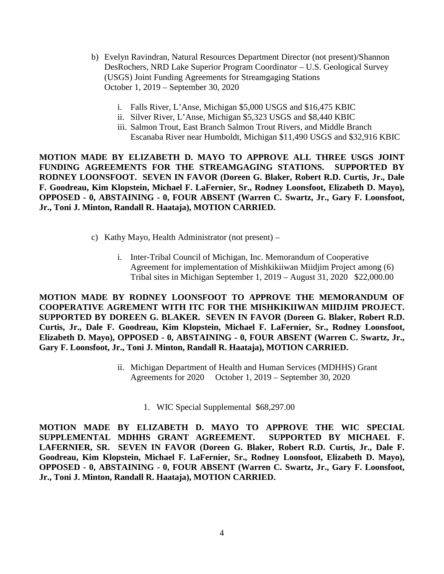- b) Evelyn Ravindran, Natural Resources Department Director (not present)/Shannon DesRochers, NRD Lake Superior Program Coordinator – U.S. Geological Survey (USGS) Joint Funding Agreements for Streamgaging Stations October 1, 2019 – September 30, 2020
	- i. Falls River, L'Anse, Michigan \$5,000 USGS and \$16,475 KBIC
	- ii. Silver River, L'Anse, Michigan \$5,323 USGS and \$8,440 KBIC
	- iii. Salmon Trout, East Branch Salmon Trout Rivers, and Middle Branch Escanaba River near Humboldt, Michigan \$11,490 USGS and \$32,916 KBIC

**MOTION MADE BY ELIZABETH D. MAYO TO APPROVE ALL THREE USGS JOINT FUNDING AGREEMENTS FOR THE STREAMGAGING STATIONS. SUPPORTED BY RODNEY LOONSFOOT. SEVEN IN FAVOR (Doreen G. Blaker, Robert R.D. Curtis, Jr., Dale F. Goodreau, Kim Klopstein, Michael F. LaFernier, Sr., Rodney Loonsfoot, Elizabeth D. Mayo), OPPOSED - 0, ABSTAINING - 0, FOUR ABSENT (Warren C. Swartz, Jr., Gary F. Loonsfoot, Jr., Toni J. Minton, Randall R. Haataja), MOTION CARRIED.**

- c) Kathy Mayo, Health Administrator (not present)
	- i. Inter-Tribal Council of Michigan, Inc. Memorandum of Cooperative Agreement for implementation of Mishkikiiwan Miidjim Project among (6) Tribal sites in Michigan September 1, 2019 – August 31, 2020 \$22,000.00

**MOTION MADE BY RODNEY LOONSFOOT TO APPROVE THE MEMORANDUM OF COOPERATIVE AGREMENT WITH ITC FOR THE MISHKIKIIWAN MIIDJIM PROJECT. SUPPORTED BY DOREEN G. BLAKER. SEVEN IN FAVOR (Doreen G. Blaker, Robert R.D. Curtis, Jr., Dale F. Goodreau, Kim Klopstein, Michael F. LaFernier, Sr., Rodney Loonsfoot, Elizabeth D. Mayo), OPPOSED - 0, ABSTAINING - 0, FOUR ABSENT (Warren C. Swartz, Jr., Gary F. Loonsfoot, Jr., Toni J. Minton, Randall R. Haataja), MOTION CARRIED.**

- ii. Michigan Department of Health and Human Services (MDHHS) Grant Agreements for 2020 October 1, 2019 – September 30, 2020
	- 1. WIC Special Supplemental \$68,297.00

**MOTION MADE BY ELIZABETH D. MAYO TO APPROVE THE WIC SPECIAL SUPPLEMENTAL MDHHS GRANT AGREEMENT. SUPPORTED BY MICHAEL F. LAFERNIER, SR. SEVEN IN FAVOR (Doreen G. Blaker, Robert R.D. Curtis, Jr., Dale F. Goodreau, Kim Klopstein, Michael F. LaFernier, Sr., Rodney Loonsfoot, Elizabeth D. Mayo), OPPOSED - 0, ABSTAINING - 0, FOUR ABSENT (Warren C. Swartz, Jr., Gary F. Loonsfoot, Jr., Toni J. Minton, Randall R. Haataja), MOTION CARRIED.**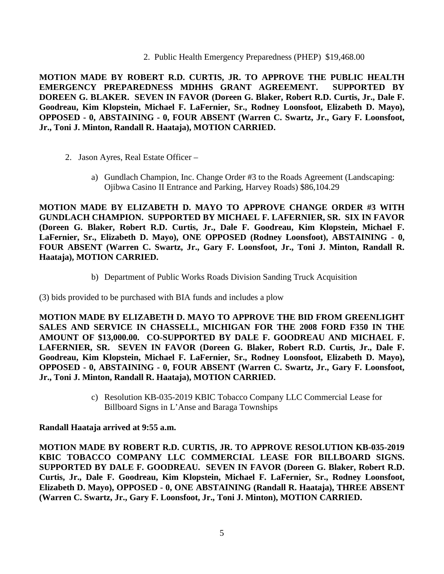2. Public Health Emergency Preparedness (PHEP) \$19,468.00

**MOTION MADE BY ROBERT R.D. CURTIS, JR. TO APPROVE THE PUBLIC HEALTH EMERGENCY PREPAREDNESS MDHHS GRANT AGREEMENT. SUPPORTED BY DOREEN G. BLAKER. SEVEN IN FAVOR (Doreen G. Blaker, Robert R.D. Curtis, Jr., Dale F. Goodreau, Kim Klopstein, Michael F. LaFernier, Sr., Rodney Loonsfoot, Elizabeth D. Mayo), OPPOSED - 0, ABSTAINING - 0, FOUR ABSENT (Warren C. Swartz, Jr., Gary F. Loonsfoot, Jr., Toni J. Minton, Randall R. Haataja), MOTION CARRIED.**

- 2. Jason Ayres, Real Estate Officer
	- a) Gundlach Champion, Inc. Change Order #3 to the Roads Agreement (Landscaping: Ojibwa Casino II Entrance and Parking, Harvey Roads) \$86,104.29

**MOTION MADE BY ELIZABETH D. MAYO TO APPROVE CHANGE ORDER #3 WITH GUNDLACH CHAMPION. SUPPORTED BY MICHAEL F. LAFERNIER, SR. SIX IN FAVOR (Doreen G. Blaker, Robert R.D. Curtis, Jr., Dale F. Goodreau, Kim Klopstein, Michael F. LaFernier, Sr., Elizabeth D. Mayo), ONE OPPOSED (Rodney Loonsfoot), ABSTAINING - 0, FOUR ABSENT (Warren C. Swartz, Jr., Gary F. Loonsfoot, Jr., Toni J. Minton, Randall R. Haataja), MOTION CARRIED.**

b) Department of Public Works Roads Division Sanding Truck Acquisition

(3) bids provided to be purchased with BIA funds and includes a plow

**MOTION MADE BY ELIZABETH D. MAYO TO APPROVE THE BID FROM GREENLIGHT SALES AND SERVICE IN CHASSELL, MICHIGAN FOR THE 2008 FORD F350 IN THE AMOUNT OF \$13,000.00. CO-SUPPORTED BY DALE F. GOODREAU AND MICHAEL F. LAFERNIER, SR. SEVEN IN FAVOR (Doreen G. Blaker, Robert R.D. Curtis, Jr., Dale F. Goodreau, Kim Klopstein, Michael F. LaFernier, Sr., Rodney Loonsfoot, Elizabeth D. Mayo), OPPOSED - 0, ABSTAINING - 0, FOUR ABSENT (Warren C. Swartz, Jr., Gary F. Loonsfoot, Jr., Toni J. Minton, Randall R. Haataja), MOTION CARRIED.**

> c) Resolution KB-035-2019 KBIC Tobacco Company LLC Commercial Lease for Billboard Signs in L'Anse and Baraga Townships

## **Randall Haataja arrived at 9:55 a.m.**

**MOTION MADE BY ROBERT R.D. CURTIS, JR. TO APPROVE RESOLUTION KB-035-2019 KBIC TOBACCO COMPANY LLC COMMERCIAL LEASE FOR BILLBOARD SIGNS. SUPPORTED BY DALE F. GOODREAU. SEVEN IN FAVOR (Doreen G. Blaker, Robert R.D. Curtis, Jr., Dale F. Goodreau, Kim Klopstein, Michael F. LaFernier, Sr., Rodney Loonsfoot, Elizabeth D. Mayo), OPPOSED - 0, ONE ABSTAINING (Randall R. Haataja), THREE ABSENT (Warren C. Swartz, Jr., Gary F. Loonsfoot, Jr., Toni J. Minton), MOTION CARRIED.**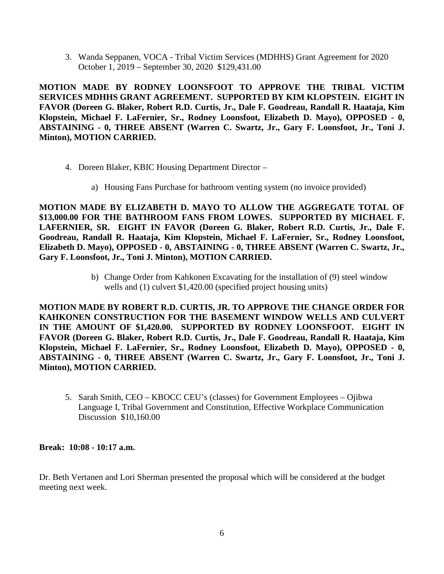3. Wanda Seppanen, VOCA - Tribal Victim Services (MDHHS) Grant Agreement for 2020 October 1, 2019 – September 30, 2020 \$129,431.00

**MOTION MADE BY RODNEY LOONSFOOT TO APPROVE THE TRIBAL VICTIM SERVICES MDHHS GRANT AGREEMENT. SUPPORTED BY KIM KLOPSTEIN. EIGHT IN FAVOR (Doreen G. Blaker, Robert R.D. Curtis, Jr., Dale F. Goodreau, Randall R. Haataja, Kim Klopstein, Michael F. LaFernier, Sr., Rodney Loonsfoot, Elizabeth D. Mayo), OPPOSED - 0, ABSTAINING - 0, THREE ABSENT (Warren C. Swartz, Jr., Gary F. Loonsfoot, Jr., Toni J. Minton), MOTION CARRIED.**

- 4. Doreen Blaker, KBIC Housing Department Director
	- a) Housing Fans Purchase for bathroom venting system (no invoice provided)

**MOTION MADE BY ELIZABETH D. MAYO TO ALLOW THE AGGREGATE TOTAL OF \$13,000.00 FOR THE BATHROOM FANS FROM LOWES. SUPPORTED BY MICHAEL F. LAFERNIER, SR. EIGHT IN FAVOR (Doreen G. Blaker, Robert R.D. Curtis, Jr., Dale F. Goodreau, Randall R. Haataja, Kim Klopstein, Michael F. LaFernier, Sr., Rodney Loonsfoot, Elizabeth D. Mayo), OPPOSED - 0, ABSTAINING - 0, THREE ABSENT (Warren C. Swartz, Jr., Gary F. Loonsfoot, Jr., Toni J. Minton), MOTION CARRIED.**

> b) Change Order from Kahkonen Excavating for the installation of (9) steel window wells and (1) culvert \$1,420.00 (specified project housing units)

**MOTION MADE BY ROBERT R.D. CURTIS, JR. TO APPROVE THE CHANGE ORDER FOR KAHKONEN CONSTRUCTION FOR THE BASEMENT WINDOW WELLS AND CULVERT IN THE AMOUNT OF \$1,420.00. SUPPORTED BY RODNEY LOONSFOOT. EIGHT IN FAVOR (Doreen G. Blaker, Robert R.D. Curtis, Jr., Dale F. Goodreau, Randall R. Haataja, Kim Klopstein, Michael F. LaFernier, Sr., Rodney Loonsfoot, Elizabeth D. Mayo), OPPOSED - 0, ABSTAINING - 0, THREE ABSENT (Warren C. Swartz, Jr., Gary F. Loonsfoot, Jr., Toni J. Minton), MOTION CARRIED.**

5. Sarah Smith, CEO – KBOCC CEU's (classes) for Government Employees – Ojibwa Language I, Tribal Government and Constitution, Effective Workplace Communication Discussion \$10,160.00

## **Break: 10:08 - 10:17 a.m.**

Dr. Beth Vertanen and Lori Sherman presented the proposal which will be considered at the budget meeting next week.